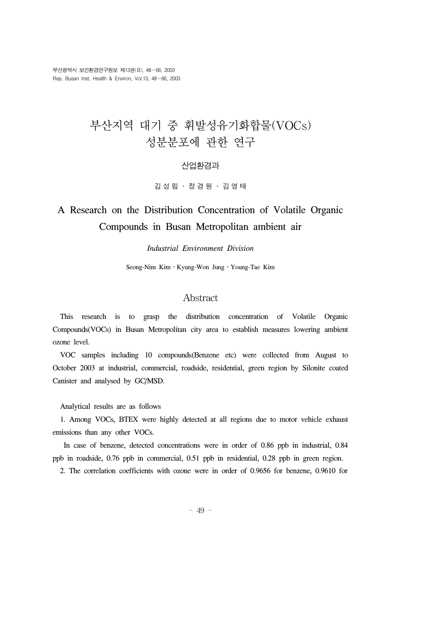# 부산지역 대기 중 휘발성유기화합물(VOCs) 성분분포에 관한 연구

#### 산업환경과

김성림 ․ 정경원 ․ 김영태

# A Research on the Distribution Concentration of Volatile Organic Compounds in Busan Metropolitan ambient air

#### *Industrial Environment Division*

Seong-Nim Kim․Kyung-Won Jung․Young-Tae Kim

### Abstract

 This research is to grasp the distribution concentration of Volatile Organic Compounds(VOCs) in Busan Metropolitan city area to establish measures lowering ambient ozone level.

 VOC samples including 10 compounds(Benzene etc) were collected from August to October 2003 at industrial, commercial, roadside, residential, green region by Silonite coated Canister and analysed by GC/MSD.

Analytical results are as follows

 1. Among VOCs, BTEX were highly detected at all regions due to motor vehicle exhaust emissions than any other VOCs.

 In case of benzene, detected concentrations were in order of 0.86 ppb in industrial, 0.84 ppb in roadside, 0.76 ppb in commercial, 0.51 ppb in residential, 0.28 ppb in green region.

2. The correlation coefficients with ozone were in order of 0.9656 for benzene, 0.9610 for

- 49 -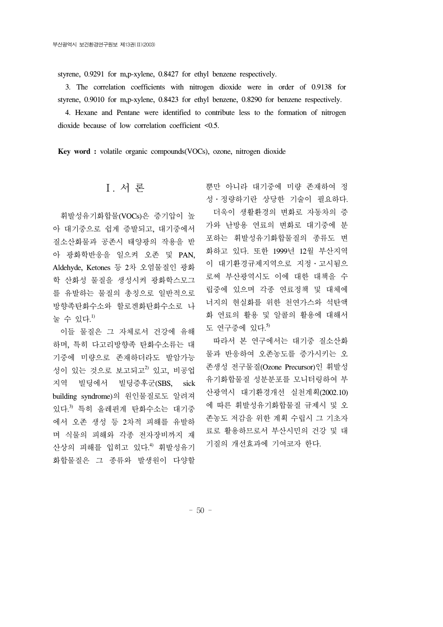styrene, 0.9291 for m,p-xylene, 0.8427 for ethyl benzene respectively.

 3. The correlation coefficients with nitrogen dioxide were in order of 0.9138 for styrene, 0.9010 for m,p-xylene, 0.8423 for ethyl benzene, 0.8290 for benzene respectively.

 4. Hexane and Pentane were identified to contribute less to the formation of nitrogen dioxide because of low correlation coefficient <0.5.

**Key word :** volatile organic compounds(VOCs), ozone, nitrogen dioxide

# Ⅰ. 서 론

 휘발성유기화합물(VOCs)은 증기압이 높 아 대기중으로 쉽게 증발되고, 대기중에서 질소산화물과 공존시 태양광의 작용을 받 아 광화학반응을 일으켜 오존 및 PAN, Aldehyde, Ketones 등 2차 오염물질인 광화 학 산화성 물질을 생성시켜 광화학스모그 를 유발하는 물질의 총칭으로 일반적으로 방향족탄화수소와 할로겐화탄화수소로 나 눌 수 있다.<sup>1)</sup>

 이들 물질은 그 자체로서 건강에 유해 하며, 특히 다고리방향족 탄화수소류는 대 기중에 미량으로 존재하더라도 발암가능 성이 있는 것으로 보고되고 $^{2}$  있고, 비공업 지역 빌딩에서 빌딩증후군(SBS, sick building syndrome)의 원인물질로도 알려져 있다. 3) 특히 올레핀계 탄화수소는 대기중 에서 오존 생성 등 2차적 피해를 유발하 며 식물의 피해와 각종 전자장비까지 재 산상의 피해를 입히고 있다. 4) 휘발성유기 화합물질은 그 종류와 발생원이 다양할 뿐만 아니라 대기중에 미량 존재하여 정 성․정량하기란 상당한 기술이 필요하다. 더욱이 생활환경의 변화로 자동차의 증 가와 난방용 연료의 변화로 대기중에 분 포하는 휘발성유기화합물질의 종류도 변 화하고 있다. 또한 1999년 12월 부산지역 이 대기환경규제지역으로 지정․고시됨으 로써 부산광역시도 이에 대한 대책을 수 립중에 있으며 각종 연료정책 및 대체에 너지의 현실화를 위한 천연가스와 석탄액 화 연료의 활용 및 알콜의 활용에 대해서 도 연구중에 있다. 5)

 따라서 본 연구에서는 대기중 질소산화 물과 반응하여 오존농도를 증가시키는 오 존생성 전구물질(Ozone Precursor)인 휘발성 유기화합물질 성분분포를 모니터링하여 부 산광역시 대기환경개선 실천계획(2002.10) 에 따른 휘발성유기화합물질 규제시 및 오 존농도 저감을 위한 계획 수립시 그 기초자 료로 활용하므로서 부산시민의 건강 및 대 기질의 개선효과에 기여코자 한다.

- 50 -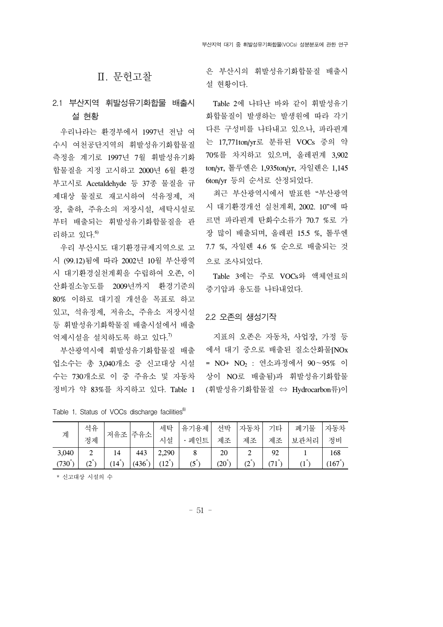## Ⅱ. 문헌고찰

# 2.1 부산지역 휘발성유기화합물 배출시 설 현황

 우리나라는 환경부에서 1997년 전남 여 수시 여천공단지역의 휘발성유기화합물질 측정을 계기로 1997년 7월 휘발성유기화 합물질을 지정 고시하고 2000년 6월 환경 부고시로 Acetaldehyde 등 37종 물질을 규 제대상 물질로 재고시하여 석유정제, 저 장, 출하, 주유소의 저장시설, 세탁시설로 부터 배출되는 휘발성유기화합물질을 관 리하고 있다. 6)

 우리 부산시도 대기환경규제지역으로 고 시 (99.12)됨에 따라 2002년 10월 부산광역 시 대기환경실천계획을 수립하여 오존, 이 산화질소농도를 2009년까지 환경기준의 80% 이하로 대기질 개선을 목표로 하고 있고, 석유정제, 저유소, 주유소 저장시설 등 휘발성유기화학물질 배출시설에서 배출 억제시설을 설치하도록 하고 있다. 7)

 부산광역시에 휘발성유기화합물질 배출 업소수는 총 3,040개소 중 신고대상 시설 수는 730개소로 이 중 주유소 및 자동차 정비가 약 83%를 차지하고 있다. Table 1 은 부산시의 휘발성유기화합물질 배출시 설 현황이다.

 Table 2에 나타난 바와 같이 휘발성유기 화합물질이 발생하는 발생원에 따라 각기 다른 구성비를 나타내고 있으나, 파라핀계 는 17,771ton/yr로 분류된 VOCs 중의 약 70%를 차지하고 있으며, 올레핀계 3,902 ton/yr, 톨루엔은 1,935ton/yr, 자일렌은 1,145 6ton/yr 등의 순서로 산정되었다.

 최근 부산광역시에서 발표한 "부산광역 시 대기환경개선 실천계획, 2002. 10"에 따 르면 파라핀계 탄화수소류가 70.7 %로 가 장 많이 배출되며, 올레핀 15.5 %, 톨루엔 7.7 %, 자일렌 4.6 % 순으로 배출되는 것 으로 조사되었다.

 Table 3에는 주로 VOCs와 액체연료의 증기압과 용도를 나타내었다.

#### 2.2 오존의 생성기작

 지표의 오존은 자동차, 사업장, 가정 등 에서 대기 중으로 배출된 질소산화물[NOx = NO+ NO2 : 연소과정에서 90∼95% 이 상이 NO로 배출됨)과 휘발성유기화합물 (휘발성유기화합물질 ⇔ Hydrocarbon류)이

| 계                   | 석유  | 저유조  |       | 세탁    | 유기용제  | 선박   | 자동차 | 기타 | 폐기물          | 자동차 |
|---------------------|-----|------|-------|-------|-------|------|-----|----|--------------|-----|
|                     | 정제  |      | 주유소   | 시설    | • 페인트 | 제조   | 제조  | 제조 | 보관처리         | 정비  |
| 3,040               |     | 14   | 443   | 2,290 |       | 20   |     | 92 |              | 168 |
| (730 $\overline{a}$ | (2) | (14) | (436) | (12)  | (5)   | (20) | (2) | 71 | $\mathbf{I}$ | 167 |

Table 1. Status of VOCs discharge facilities<sup>8)</sup>

\* 신고대상 시설의 수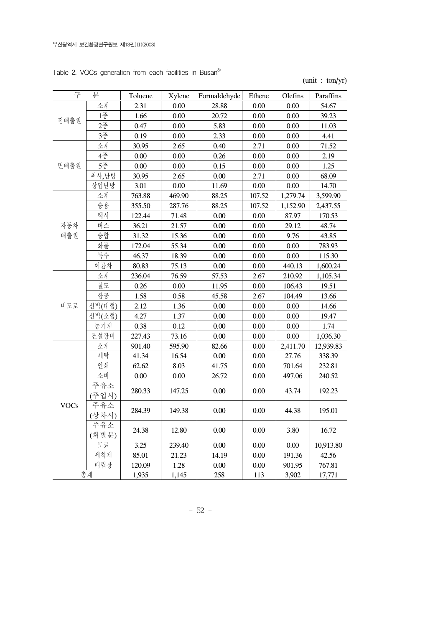| Table 2. VOCs generation from each facilities in Busan <sup>8)</sup> |
|----------------------------------------------------------------------|
|                                                                      |

(unit : ton/yr)

| 구           | 분      | Toluene  | Xylene | Formaldehyde | Ethene   | Olefins  | Paraffins |
|-------------|--------|----------|--------|--------------|----------|----------|-----------|
|             | 소계     | 2.31     | 0.00   | 28.88        | 0.00     | 0.00     | 54.67     |
| 점배출원        | 1종     | 1.66     | 0.00   | 20.72        | 0.00     | 0.00     | 39.23     |
|             | 2종     | 0.47     | 0.00   | 5.83         | 0.00     | 0.00     | 11.03     |
|             | 3종     | 0.19     | 0.00   | 2.33         | $0.00\,$ | 0.00     | 4.41      |
|             | 소계     | 30.95    | 2.65   | 0.40         | 2.71     | 0.00     | 71.52     |
| 면배출원        | 4종     | $0.00\,$ | 0.00   | 0.26         | $0.00\,$ | 0.00     | 2.19      |
|             | 5종     | 0.00     | 0.00   | 0.15         | $0.00\,$ | 0.00     | 1.25      |
|             | 취사,난방  | 30.95    | 2.65   | $0.00\,$     | 2.71     | 0.00     | 68.09     |
|             | 상업난방   | 3.01     | 0.00   | 11.69        | $0.00\,$ | 0.00     | 14.70     |
|             | 소계     | 763.88   | 469.90 | 88.25        | 107.52   | 1,279.74 | 3,599.90  |
|             | 승용     | 355.50   | 287.76 | 88.25        | 107.52   | 1,152.90 | 2,437.55  |
|             | 택시     | 122.44   | 71.48  | $0.00\,$     | $0.00\,$ | 87.97    | 170.53    |
| 자동차         | 버스     | 36.21    | 21.57  | $0.00\,$     | $0.00\,$ | 29.12    | 48.74     |
| 배출원         | 승합     | 31.32    | 15.36  | 0.00         | 0.00     | 9.76     | 43.85     |
|             | 화물     | 172.04   | 55.34  | $0.00\,$     | 0.00     | 0.00     | 783.93    |
|             | 특수     | 46.37    | 18.39  | 0.00         | 0.00     | 0.00     | 115.30    |
|             | 이륜차    | 80.83    | 75.13  | $0.00\,$     | 0.00     | 440.13   | 1,600.24  |
|             | 소계     | 236.04   | 76.59  | 57.53        | 2.67     | 210.92   | 1,105.34  |
|             | 철도     | 0.26     | 0.00   | 11.95        | 0.00     | 106.43   | 19.51     |
|             | 항공     | 1.58     | 0.58   | 45.58        | 2.67     | 104.49   | 13.66     |
| 비도로         | 선박(대형) | 2.12     | 1.36   | $0.00\,$     | $0.00\,$ | 0.00     | 14.66     |
|             | 선박(소형) | 4.27     | 1.37   | $0.00\,$     | $0.00\,$ | 0.00     | 19.47     |
|             | 농기계    | 0.38     | 0.12   | 0.00         | $0.00\,$ | 0.00     | 1.74      |
|             | 건설장비   | 227.43   | 73.16  | $0.00\,$     | $0.00\,$ | 0.00     | 1,036.30  |
|             | 소계     | 901.40   | 595.90 | 82.66        | $0.00\,$ | 2,411.70 | 12,939.83 |
|             | 세탁     | 41.34    | 16.54  | $0.00\,$     | 0.00     | 27.76    | 338.39    |
|             | 인쇄     | 62.62    | 8.03   | 41.75        | $0.00\,$ | 701.64   | 232.81    |
|             | 소비     | 0.00     | 0.00   | 26.72        | $0.00\,$ | 497.06   | 240.52    |
|             | 주유소    | 280.33   | 147.25 | $0.00\,$     | 0.00     | 43.74    | 192.23    |
|             | (주입시)  |          |        |              |          |          |           |
| <b>VOCs</b> | 주유소    | 284.39   | 149.38 | $0.00\,$     | $0.00\,$ |          | 195.01    |
|             | (상차시)  |          |        |              |          | 44.38    |           |
|             | 주유소    | 24.38    | 12.80  | 0.00         | 0.00     | 3.80     | 16.72     |
|             | (휘발분)  |          |        |              |          |          |           |
|             | 도료     | 3.25     | 239.40 | 0.00         | $0.00\,$ | 0.00     | 10,913.80 |
|             | 세척제    | 85.01    | 21.23  | 14.19        | $0.00\,$ | 191.36   | 42.56     |
|             | 매립장    | 120.09   | 1.28   | $0.00\,$     | $0.00\,$ | 901.95   | 767.81    |
|             | 총계     | 1,935    | 1,145  | 258          | 113      | 3,902    | 17,771    |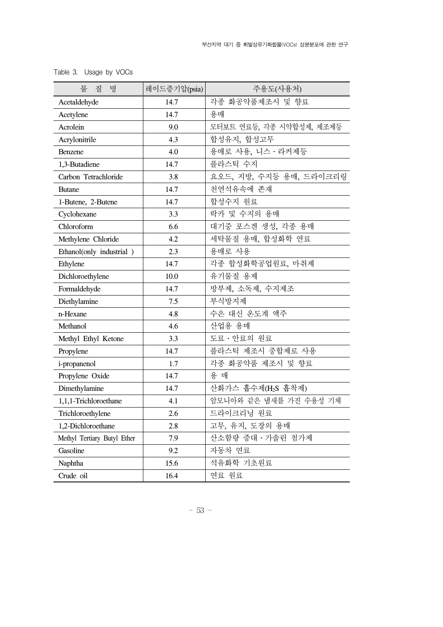| 물<br>질<br>명                 | 레이드증기압(psia) | 주용도(사용처)                       |
|-----------------------------|--------------|--------------------------------|
| Acetaldehyde                | 14.7         | 각종 화공약품제조시 및 향료                |
| Acetylene                   | 14.7         | 용매                             |
| Acrolein                    | 9.0          | 모터보트 연료등, 각종 시약합성제, 제조제등       |
| Acrylonitrile               | 4.3          | 합성유지, 합성고무                     |
| <b>Benzene</b>              | 4.0          | 용매로 사용, 니스 · 라커제등              |
| 1,3-Butadiene               | 14.7         | 플라스틱 수지                        |
| Carbon Tetrachloride        | 3.8          | 요오드, 지방, 수지등 용매, 드라이크리링        |
| <b>Butane</b>               | 14.7         | 천연석유속에 존재                      |
| 1-Butene, 2-Butene          | 14.7         | 합성수지 원료                        |
| Cyclohexane                 | 3.3          | 락카 및 수지의 용매                    |
| Chloroform                  | 6.6          | 대기중 포스겐 생성, 각종 용매              |
| Methylene Chloride          | 4.2          | 세탁물질 용매, 합성화학 연료               |
| Ethanol(only industrial)    | 2.3          | 용매로 사용                         |
| Ethylene                    | 14.7         | 각종 합성화학공업원료, 마취제               |
| Dichloroethylene            | 10.0         | 유기물질 용제                        |
| Formaldehyde                | 14.7         | 방부제, 소독제, 수지제조                 |
| Diethylamine                | 7.5          | 부식방지제                          |
| n-Hexane                    | 4.8          | 수은 대신 온도계 액주                   |
| Methanol                    | 4.6          | 산업용 용매                         |
| Methyl Ethyl Ketone         | 3.3          | 도료 · 안료의 원료                    |
| Propylene                   | 14.7         | 플라스틱 제조시 중합제로 사용               |
| i-propanenol                | 1.7          | 각종 화공약품 제조시 및 향료               |
| Propylene Oxide             | 14.7         | 용 매                            |
| Dimethylamine               | 14.7         | 산화가스 흡수제(H <sub>2</sub> S 흡착제) |
| 1,1,1-Trichloroethane       | 4.1          | 암모니아와 같은 냄새를 가진 수용성 기체         |
| Trichloroethylene           | 2.6          | 드라이크리닝 원료                      |
| 1,2-Dichloroethane          | 2.8          | 고무, 유지, 도장의 용매                 |
| Methyl Tertiary Butyl Ether | 7.9          | 산소함량 증대 · 가솔린 첨가제              |
| Gasoline                    | 9.2          | 자동차 연료                         |
| Naphtha                     | 15.6         | 석유화학 기초원료                      |
| Crude oil                   | 16.4         | 연료 원료                          |

Table 3. Usage by VOCs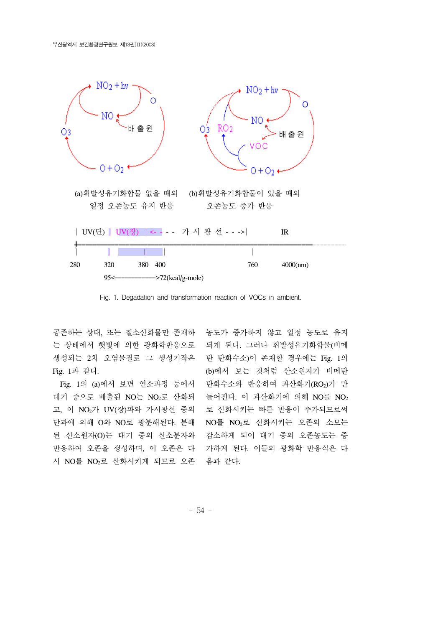

Fig. 1. Degadation and transformation reaction of VOCs in ambient.

공존하는 상태, 또는 질소산화물만 존재하 농도가 증가하지 않고 일정 농도로 유지 는 상태에서 햇빛에 의한 광화학반응으로 되게 된다. 그러나 휘발성유기화합물(비메 생성되는 2차 오염물질로 그 생성기작은 Fig. 1과 같다.

 Fig. 1의 (a)에서 보면 연소과정 등에서 탄화수소와 반응하여 과산화기(RO2)가 만 대기 중으로 배출된 NO는 NO2로 산화되 들어진다. 이 과산화기에 의해 NO를 NO2 고, 이 NO2가 UV(장)파와 가시광선 중의 단파에 의해 O와 NO로 광분해된다. 분해 NO를 NO<sub>2</sub>로 산화시키는 오존의 소모는 된 산소원자(O)는 대기 중의 산소분자와 감소하게 되어 대기 중의 오존농도는 증 반응하여 오존을 생성하며, 이 오존은 다 가하게 된다. 이들의 광화학 반응식은 다 시 NO를 NO2로 산화시키게 되므로 오존 음과 같다.

탄 탄화수소)이 존재할 경우에는 Fig. 1의 (b)에서 보는 것처럼 산소원자가 비메탄 로 산화시키는 빠른 반응이 추가되므로써

- 54 -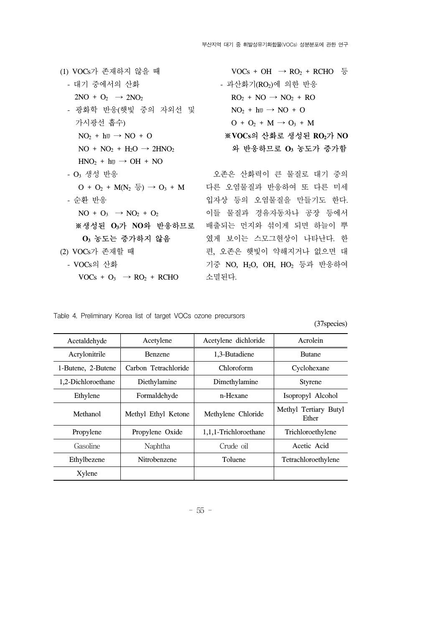| (1) VOCs가 존재하지 않을 때                        | $VOCs + OH \rightarrow RO2 + RCHO \in$               |
|--------------------------------------------|------------------------------------------------------|
| - 대기 중에서의 산화                               | - 과산화기(RO2)에 의한 반응                                   |
| $2NO + O_2 \rightarrow 2NO_2$              | $RO2 + NO \rightarrow NO2 + RO$                      |
| - 광화학 반응(햇빛 중의 자외선 및                       | $NO2 + h \mathbb{U} \rightarrow NO + O$              |
| 가시광선 흡수)                                   | $O + O_2 + M \rightarrow O_3 + M$                    |
| $NO2 + h \mathbb{I} \rightarrow NO + O$    | ※VOCs의 산화로 생성된 RO2가 NO                               |
| $NO + NO2 + H2O \rightarrow 2HNO2$         | 와 반응하므로 O <sub>3</sub> 농도가 증가함                       |
| $HNO2 + hu \rightarrow OH + NO$            |                                                      |
| - O <sub>3</sub> 생성 반응                     | 오존은 산화력이 큰 물질로 대기 중의                                 |
| $O + O_2 + M(N_2 \xi) \rightarrow O_3 + M$ | 다른 오염물질과 반응하여 또 다른 미세                                |
| - 순환 반응                                    | 입자상 등의 오염물질을 만들기도 한다.                                |
| $NO + O_3 \rightarrow NO_2 + O_2$          | 이들 물질과 경유자동차나 공장 등에서                                 |
| ※생성된 O3가 NO와 반응하므로                         | 배출되는 먼지와 섞이게 되면 하늘이 뿌                                |
| O <sub>3</sub> 농도는 증가하지 않음                 | 였게 보이는 스모그현상이 나타난다. 한                                |
| (2) VOCs가 존재할 때                            | 편, 오존은 햇빛이 약해지거나 없으면 대                               |
| - VOCs의 산화                                 | 기중 NO, H <sub>2</sub> O, OH, HO <sub>2</sub> 등과 반응하여 |
| $VOCs + O_3 \rightarrow RO_2 + RCHO$       | 소멸된다.                                                |

|  | Table 4. Preliminary Korea list of target VOCs ozone precursors |  |  |  |  |  |  |  |
|--|-----------------------------------------------------------------|--|--|--|--|--|--|--|
|--|-----------------------------------------------------------------|--|--|--|--|--|--|--|

(37species)

| Acetaldehyde       | Acetylene            | Acetylene dichloride  | Acrolein                       |
|--------------------|----------------------|-----------------------|--------------------------------|
| Acrylonitrile      | <b>Benzene</b>       | 1,3-Butadiene         | <b>Butane</b>                  |
| 1-Butene, 2-Butene | Carbon Tetrachloride | Chloroform            | Cyclohexane                    |
| 1,2-Dichloroethane | Diethylamine         | Dimethylamine         | <b>Styrene</b>                 |
| Ethylene           | Formaldehyde         | n-Hexane              | Isopropyl Alcohol              |
| Methanol           | Methyl Ethyl Ketone  | Methylene Chloride    | Methyl Tertiary Butyl<br>Ether |
| Propylene          | Propylene Oxide      | 1,1,1-Trichloroethane | Trichloroethylene              |
| Gasoline           | Naphtha              | Crude oil             | Acetic Acid                    |
| Ethylbezene        | Nitrobenzene         | Toluene               | Tetrachloroethylene            |
| Xylene             |                      |                       |                                |
|                    |                      |                       |                                |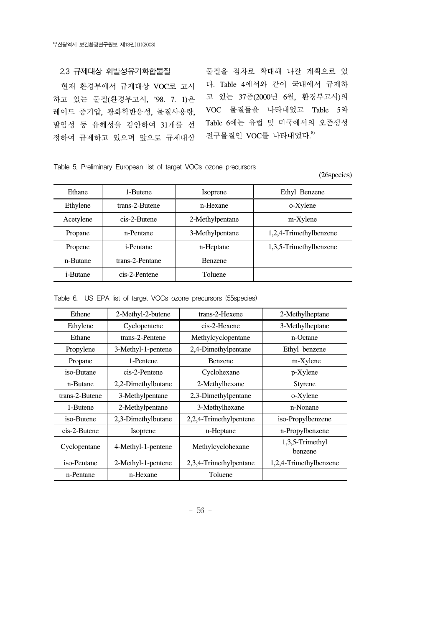정하여 규제하고 있으며 앞으로 규제대상 전구물질인 VOC를 나타내었다.<sup>8)</sup>

2.3 규제대상 휘발성유기화합물질 물질을 점차로 확대해 나갈 계획으로 있 현재 환경부에서 규제대상 VOC로 고시 다. Table 4에서와 같이 국내에서 규제하 하고 있는 물질(환경부고시, '98. 7. 1)은 고 있는 37종(2000년 6월, 환경부고시)의 레이드 증기압, 광화학반응성, 물질사용량, VOC 물질들을 나타내었고 Table 5와 발암성 등 유해성을 감안하여 31개를 선 Table 6에는 유럽 및 미국에서의 오존생성

#### Table 5. Preliminary European list of target VOCs ozone precursors

(26species)

| Ethane           | 1-Butene          | <i>Isoprene</i> | Ethyl Benzene          |
|------------------|-------------------|-----------------|------------------------|
| Ethylene         | trans-2-Butene    | n-Hexane        | o-Xylene               |
| Acetylene        | cis-2-Butene      | 2-Methylpentane | m-Xylene               |
| Propane          | n-Pentane         | 3-Methylpentane | 1,2,4-Trimethylbenzene |
| Propene          | <i>i</i> -Pentane | n-Heptane       | 1,3,5-Trimethylbenzene |
| n-Butane         | trans-2-Pentane   | <b>Benzene</b>  |                        |
| <i>i</i> -Butane | cis-2-Pentene     | Toluene         |                        |

Table 6. US EPA list of target VOCs ozone precursors (55species)

| Ethene         | 2-Methyl-2-butene  | trans-2-Hexene         | 2-Methylheptane            |
|----------------|--------------------|------------------------|----------------------------|
| Ethylene       | Cyclopentene       | cis-2-Hexene           | 3-Methylheptane            |
| Ethane         | trans-2-Pentene    | Methylcyclopentane     | n-Octane                   |
| Propylene      | 3-Methyl-1-pentene | 2,4-Dimethylpentane    | Ethyl benzene              |
| Propane        | 1-Pentene          | Benzene                | m-Xylene                   |
| iso-Butane     | cis-2-Pentene      | Cyclohexane            | p-Xylene                   |
| n-Butane       | 2,2-Dimethylbutane | 2-Methylhexane         | <b>Styrene</b>             |
| trans-2-Butene | 3-Methylpentane    | 2,3-Dimethylpentane    | o-Xylene                   |
| 1-Butene       | 2-Methylpentane    | 3-Methylhexane         | n-Nonane                   |
| iso-Butene     | 2,3-Dimethylbutane | 2,2,4-Trimethylpentene | iso-Propylbenzene          |
| cis-2-Butene   | <b>Isoprene</b>    | n-Heptane              | n-Propylbenzene            |
| Cyclopentane   | 4-Methyl-1-pentene | Methylcyclohexane      | 1,3,5-Trimethyl<br>benzene |
| iso-Pentane    | 2-Methyl-1-pentene | 2,3,4-Trimethylpentane | 1,2,4-Trimethylbenzene     |
| n-Pentane      | n-Hexane           | Toluene                |                            |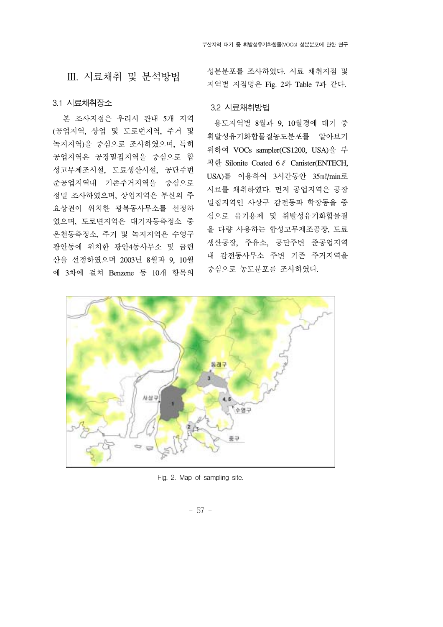# Ⅲ. 시료채취 및 분석방법

#### 3.1 시료채취장소

 본 조사지점은 우리시 관내 5개 지역 (공업지역, 상업 및 도로변지역, 주거 및 녹지지역)을 중심으로 조사하였으며, 특히 공업지역은 공장밀집지역을 중심으로 합 성고무제조시설, 도료생산시설, 공단주변 준공업지역내 기존주거지역을 중심으로 정밀 조사하였으며, 상업지역은 부산의 주 요상권이 위치한 광복동사무소를 선정하 였으며, 도로변지역은 대기자동측정소 중 온천동측정소, 주거 및 녹지지역은 수영구 광안동에 위치한 광안4동사무소 및 금련 산을 선정하였으며 2003년 8월과 9, 10월 에 3차에 걸쳐 Benzene 등 10개 항목의 성분분포를 조사하였다. 시료 채취지점 및 지역별 지점명은 Fig. 2와 Table 7과 같다.

#### 3.2 시료채취방법

 용도지역별 8월과 9, 10월경에 대기 중 휘발성유기화합물질농도분포를 알아보기 위하여 VOCs sampler(CS1200, USA)을 부 착한 Silonite Coated 6ℓ Canister(ENTECH, USA)를 이용하여 3시간동안 35㎖/min로 시료를 채취하였다. 먼저 공업지역은 공장 밀집지역인 사상구 감전동과 학장동을 중 심으로 유기용제 및 휘발성유기화합물질 을 다량 사용하는 합성고무제조공장, 도료 생산공장, 주유소, 공단주변 준공업지역 내 감전동사무소 주변 기존 주거지역을 중심으로 농도분포를 조사하였다.



Fig. 2. Map of sampling site.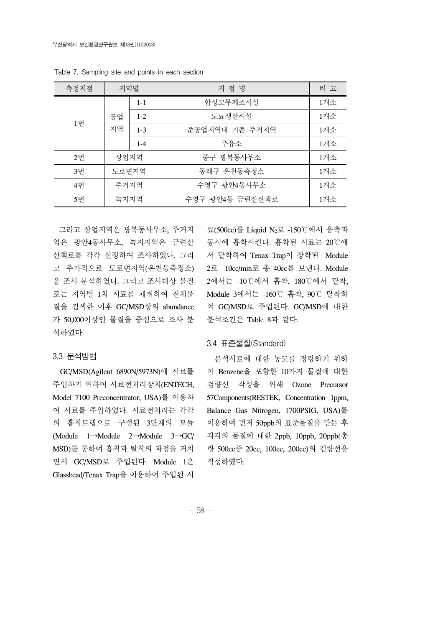| 측정지점 | 지역별   |                           | 지 점 명           | 비 고 |             |     |
|------|-------|---------------------------|-----------------|-----|-------------|-----|
|      |       | $1 - 1$                   | 합성고무제조시설        | 1개소 |             |     |
|      | 공업    | $1-2$                     | 도료생산시설          | 1개소 |             |     |
| 1번   | 지역    | 준공업지역내 기존 주거지역<br>$1 - 3$ |                 | 1개소 |             |     |
|      |       | $1 - 4$                   | 주유소             | 1개소 |             |     |
| 2번   | 상업지역  |                           | 중구 광복동사무소       | 1개소 |             |     |
| 3번   | 도로변지역 |                           |                 |     | 동래구 온천동측정소  | 1개소 |
| 4번   | 주거지역  |                           |                 |     | 수영구 광안4동사무소 | 1개소 |
| 5번   | 녹지지역  |                           | 수영구 광안4동 금련산산책로 | 1개소 |             |     |

Table 7. Sampling site and points in each section

 그리고 상업지역은 광복동사무소, 주거지 역은 광안4동사무소, 녹지지역은 금련산 산책로를 각각 선정하여 조사하였다. 그리 고 추가적으로 도로변지역(온천동측정소) 을 조사 분석하였다. 그리고 조사대상 물질 로는 지역별 1차 시료를 채취하여 전체물 질을 검색한 이후 GC/MSD상의 abundance 가 50,000이상인 물질을 중심으로 조사 분 석하였다.

#### 3.3 분석방법

 GC/MSD(Agilent 6890N/5973N)에 시료를 주입하기 위하여 시료전처리장치(ENTECH, Model 7100 Preconcentrator, USA)를 이용하 여 시료를 주입하였다. 시료전처리는 각각 의 흡착트랩으로 구성된 3단계의 모듈 (Module 1→Module 2→Module 3→GC/ MSD)를 통하여 흡착과 탈착의 과정을 거치 면서 GC/MSD로 주입된다. Module 1은 Glassbead/Tenax Trap을 이용하여 주입된 시

료(500cc)를 Liquid N2로 -150℃에서 응축과 동시에 흡착시킨다. 흡착된 시료는 20℃에 서 탈착하여 Tenax Trap이 장착된 Module 2로 10cc/min로 총 40cc를 보낸다. Module 2에서는 -10℃에서 흡착, 180℃에서 탈착, Module 3에서는 -160℃ 흡착, 90℃ 탈착하 여 GC/MSD로 주입된다. GC/MSD에 대한 분석조건은 Table 8과 같다.

#### 3.4 표준물질(Standard)

 분석시료에 대한 농도를 정량하기 위하 여 Benzene을 포함한 10가지 물질에 대한 검량선 작성을 위해 Ozone Precursor 57Components(RESTEK, Concentration 1ppm, Balance Gas Nitrogen, 1700PSIG, USA)를 이용하여 먼저 50ppb의 표준물질을 만든 후 각각의 물질에 대한 2ppb, 10ppb, 20ppb(총 량 500cc중 20cc, 100cc, 200cc)의 검량선을 작성하였다.

- 58 -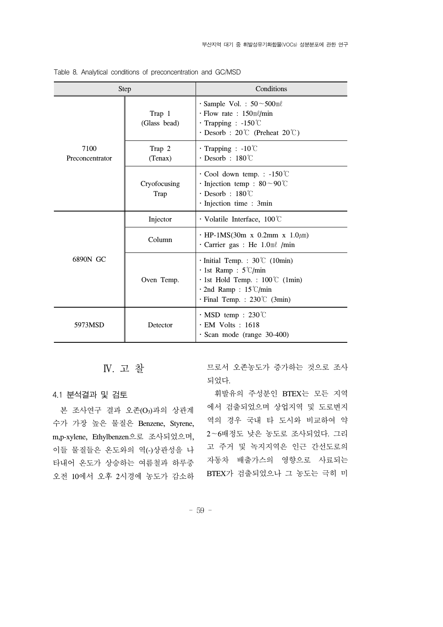| <b>Step</b>             |                        | Conditions                                                                                                                                                                      |  |  |
|-------------------------|------------------------|---------------------------------------------------------------------------------------------------------------------------------------------------------------------------------|--|--|
|                         | Trap 1<br>(Glass bead) | $\cdot$ Sample Vol. : 50 ~ 500 ml<br>$\cdot$ Flow rate : 150ml/min<br>$\cdot$ Trapping : -150 $\degree$ C<br>$\cdot$ Desorb : 20°C (Preheat 20°C)                               |  |  |
| 7100<br>Preconcentrator | Trap 2<br>(Tenax)      | $\cdot$ Trapping : -10°C<br>$\cdot$ Desorb : 180°C                                                                                                                              |  |  |
|                         | Cryofocusing<br>Trap   | $\cdot$ Cool down temp. : -150 °C<br>· Injection temp : $80 \sim 90$ °C<br>$\cdot$ Desorb : 180°C<br>$\cdot$ Injection time : 3min                                              |  |  |
|                         | Injector               | $\cdot$ Volatile Interface, 100 $\degree$                                                                                                                                       |  |  |
|                         | Column                 | $\cdot$ HP-1MS(30m x 0.2mm x 1.0 $\mu$ m)<br>$\cdot$ Carrier gas : He 1.0ml /min                                                                                                |  |  |
| 6890N GC                | Oven Temp.             | $\cdot$ Initial Temp. : 30°C (10min)<br>$\cdot$ 1st Ramp : 5°C/min<br>$\cdot$ 1st Hold Temp. : 100°C (1min)<br>$\cdot$ 2nd Ramp: 15°C/min<br>$\cdot$ Final Temp. : 230°C (3min) |  |  |
| 5973MSD                 | Detector               | $\cdot$ MSD temp : 230°C<br>$\cdot$ EM Volts : 1618<br>· Scan mode (range 30-400)                                                                                               |  |  |

Table 8. Analytical conditions of preconcentration and GC/MSD

Ⅳ. 고 찰

4.1 분석결과 및 검토

본 조사연구 결과 오존(O3)과의 상관계 수가 가장 높은 물질은 Benzene, Styrene, m,p-xylene, Ethylbenzen으로 조사되었으며, 이들 물질들은 온도와의 역(-)상관성을 나 타내어 온도가 상승하는 여름철과 하루중 오전 10에서 오후 2시경에 농도가 감소하 므로서 오존농도가 증가하는 것으로 조사 되었다.

 휘발유의 주성분인 BTEX는 모든 지역 에서 검출되었으며 상업지역 및 도로변지 역의 경우 국내 타 도시와 비교하여 약 2∼6배정도 낮은 농도로 조사되었다. 그리 고 주거 및 녹지지역은 인근 간선도로의 자동차 배출가스의 영향으로 사료되는 BTEX가 검출되었으나 그 농도는 극히 미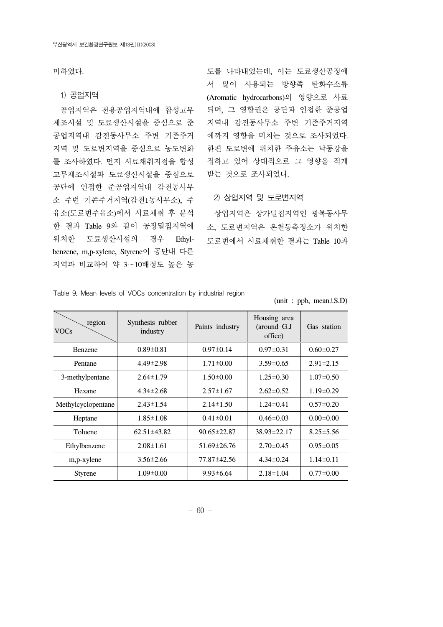미하였다.

#### 1) 공업지역

 공업지역은 전용공업지역내에 합성고무 제조시설 및 도료생산시설을 중심으로 준 공업지역내 감전동사무소 주변 기존주거 지역 및 도로변지역을 중심으로 농도변화 를 조사하였다. 먼지 시료채취지점을 합성 고무제조시설과 도료생산시설을 중심으로 공단에 인접한 준공업지역내 감전동사무 소 주변 기존주거지역(감전1동사무소), 주 유소(도로변주유소)에서 시료채취 후 분석 한 결과 Table 9와 같이 공장밀집지역에 위치한 도료생산시설의 경우 Ethylbenzene, m,p-xylene, Styrene이 공단내 다른 지역과 비교하여 약 3∼10배정도 높은 농

도를 나타내었는데, 이는 도료생산공정에 서 많이 사용되는 방향족 탄화수소류 (Aromatic hydrocarbons)의 영향으로 사료 되며, 그 영향권은 공단과 인접한 준공업 지역내 감전동사무소 주변 기존주거지역 에까지 영향을 미치는 것으로 조사되었다. 한편 도로변에 위치한 주유소는 낙동강을 접하고 있어 상대적으로 그 영향을 적게 받는 것으로 조사되었다.

#### 2) 상업지역 및 도로변지역

 상업지역은 상가밀집지역인 광복동사무 소, 도로변지역은 온천동측정소가 위치한 도로변에서 시료채취한 결과는 Table 10과

(unit : ppb, mean±S.D)

| region<br><b>VOCs</b> | Synthesis rubber<br>industry | Paints industry   | Housing area<br>(around G.J<br>office) | Gas station     |
|-----------------------|------------------------------|-------------------|----------------------------------------|-----------------|
| Benzene               | $0.89 \pm 0.81$              | $0.97 \pm 0.14$   | $0.97 \pm 0.31$                        | $0.60 \pm 0.27$ |
| Pentane               | $4.49 \pm 2.98$              | $1.71 \pm 0.00$   | $3.59 \pm 0.65$                        | $2.91 \pm 2.15$ |
| 3-methylpentane       | $2.64 \pm 1.79$              | $1.50 \pm 0.00$   | $1.25 \pm 0.30$                        | $1.07 \pm 0.50$ |
| Hexane                | $4.34 \pm 2.68$              | $2.57 \pm 1.67$   | $2.62 \pm 0.52$                        | $1.19 \pm 0.29$ |
| Methylcyclopentane    | $2.43 \pm 1.54$              | $2.14 \pm 1.50$   | $1.24 \pm 0.41$                        | $0.57 \pm 0.20$ |
| Heptane               | $1.85 \pm 1.08$              | $0.41 \pm 0.01$   | $0.46 \pm 0.03$                        | $0.00 \pm 0.00$ |
| Toluene               | $62.51 \pm 43.82$            | $90.65 \pm 22.87$ | $38.93 \pm 22.17$                      | $8.25 \pm 5.56$ |
| Ethylbenzene          | $2.08 \pm 1.61$              | $51.69 \pm 26.76$ | $2.70\pm0.45$                          | $0.95 \pm 0.05$ |
| m,p-xylene            | $3.56 \pm 2.66$              | 77.87±42.56       | $4.34 \pm 0.24$                        | $1.14 \pm 0.11$ |
| <b>Styrene</b>        | $1.09 \pm 0.00$              | $9.93 \pm 6.64$   | $2.18 \pm 1.04$                        | $0.77 \pm 0.00$ |

Table 9. Mean levels of VOCs concentration by industrial region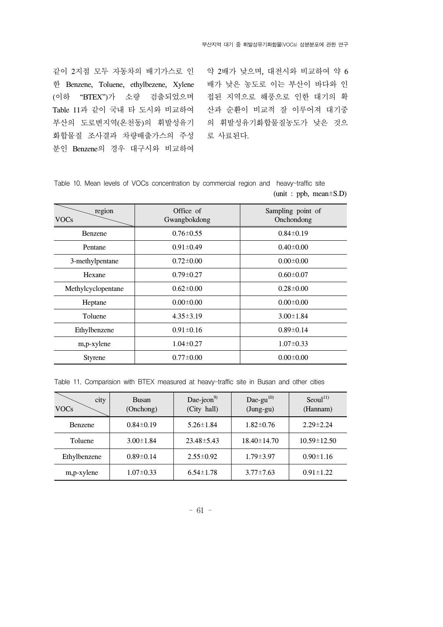같이 2지점 모두 자동차의 배기가스로 인 한 Benzene, Toluene, ethylbezene, Xylene 배가 낮은 농도로 이는 부산이 바다와 인 (이하 "BTEX")가 소량 검출되었으며 Table 11과 같이 국내 타 도시와 비교하여 산과 순환이 비교적 잘 이루어져 대기중 부산의 도로변지역(온천동)의 휘발성유기 의 휘발성유기화합물질농도가 낮은 것으 화합물질 조사결과 차량배출가스의 주성 분인 Benzene의 경우 대구시와 비교하여

약 2배가 낮으며, 대전시와 비교하여 약 6 접된 지역으로 해풍으로 인한 대기의 확 로 사료된다.

Table 10. Mean levels of VOCs concentration by commercial region and heavy-traffic site (unit : ppb, mean±S.D)

| region<br><b>VOCs</b> | Office of<br>Gwangbokdong | Sampling point of<br>Onchondong |
|-----------------------|---------------------------|---------------------------------|
| Benzene               | $0.76 \pm 0.55$           | $0.84 \pm 0.19$                 |
| Pentane               | $0.91 \pm 0.49$           | $0.40\pm0.00$                   |
| 3-methylpentane       | $0.72 \pm 0.00$           | $0.00 \pm 0.00$                 |
| Hexane                | $0.79 \pm 0.27$           | $0.60 \pm 0.07$                 |
| Methylcyclopentane    | $0.62 \pm 0.00$           | $0.28 \pm 0.00$                 |
| Heptane               | $0.00 \pm 0.00$           | $0.00 \pm 0.00$                 |
| Toluene               | $4.35 \pm 3.19$           | $3.00 \pm 1.84$                 |
| Ethylbenzene          | $0.91 \pm 0.16$           | $0.89 \pm 0.14$                 |
| m,p-xylene            | $1.04 \pm 0.27$           | $1.07 \pm 0.33$                 |
| <b>Styrene</b>        | $0.77 \pm 0.00$           | $0.00 \pm 0.00$                 |

Table 11. Comparision with BTEX measured at heavy-traffic site in Busan and other cities

| city<br><b>VOCs</b> | <b>Busan</b><br>(Onchong) | Dae-jeon <sup>9)</sup><br>(City hall) | Dae-gu $^{10}$<br>$(Jung-gu)$ | Seoul <sup>11</sup><br>(Hannam) |
|---------------------|---------------------------|---------------------------------------|-------------------------------|---------------------------------|
| Benzene             | $0.84 \pm 0.19$           | $5.26 \pm 1.84$                       | $1.82 \pm 0.76$               | $2.29 \pm 2.24$                 |
| Toluene             | $3.00 \pm 1.84$           | $23.48 \pm 5.43$                      | $18.40 \pm 14.70$             | $10.59 \pm 12.50$               |
| Ethylbenzene        | $0.89 \pm 0.14$           | $2.55 \pm 0.92$                       | $1.79 \pm 3.97$               | $0.90 \pm 1.16$                 |
| m,p-xylene          | $1.07 \pm 0.33$           | $6.54 \pm 1.78$                       | $3.77 \pm 7.63$               | $0.91 \pm 1.22$                 |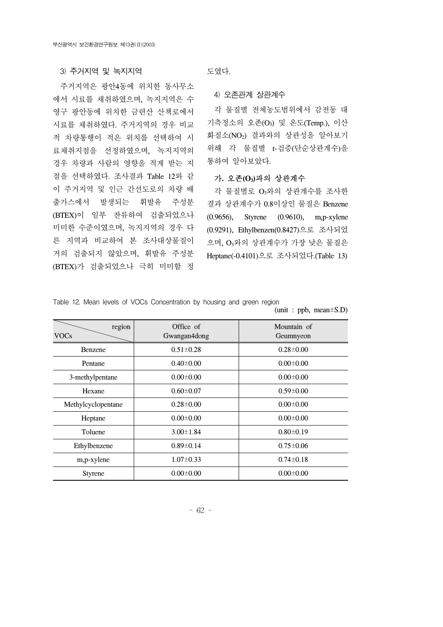#### 3) 주거지역 및 녹지지역

 주거지역은 광안4동에 위치한 동사무소 에서 시료를 채취하였으며, 녹지지역은 수 영구 광안동에 위치한 금련산 산책로에서 시료를 채취하였다. 주거지역의 경우 비교 적 차량통행이 적은 위치를 선택하여 시 료채취지점을 선정하였으며, 녹지지역의 경우 차량과 사람의 영향을 적게 받는 지 점을 선택하였다. 조사결과 Table 12와 같 이 주거지역 및 인근 간선도로의 차량 배 출가스에서 발생되는 휘발유 주성분 (BTEX)이 일부 잔류하여 검출되었으나 미미한 수준이였으며, 녹지지역의 경우 다 른 지역과 비교하여 본 조사대상물질이 거의 검출되지 않았으며, 휘발유 주성분 (BTEX)가 검출되었으나 극히 미미할 정

도였다.

4) 오존관계 상관계수

 각 물질별 전체농도범위에서 감전동 대 기측정소의 오존(O3) 및 온도(Temp.), 이산 화질소(NO2) 결과와의 상관성을 알아보기 위해 각 물질별 t-검증(단순상관계수)을 통하여 알아보았다.

#### 가**.** 오존**(O3)**과의 상관계수

 각 물질별로 O3와의 상관계수를 조사한 결과 상관계수가 0.8이상인 물질은 Benzene (0.9656), Styrene (0.9610), m,p-xylene (0.9291), Ethylbenzen(0.8427)으로 조사되었 으며, O3와의 상관계수가 가장 낮은 물질은 Heptane(-0.4101)으로 조사되었다.(Table 13)

(unit : ppb, mean±S.D)

Table 12. Mean levels of VOCs Concentration by housing and green region

| region<br><b>VOCs</b> | Office of<br>Gwangan4dong | Mountain of<br>Geumnyeon |
|-----------------------|---------------------------|--------------------------|
| <b>Benzene</b>        | $0.51 \pm 0.28$           | $0.28 \pm 0.00$          |
| Pentane               | $0.40 \pm 0.00$           | $0.00 \pm 0.00$          |
| 3-methylpentane       | $0.00 \pm 0.00$           | $0.00 \pm 0.00$          |
| Hexane                | $0.60 \pm 0.07$           | $0.59 \pm 0.00$          |
| Methylcyclopentane    | $0.28 \pm 0.00$           | $0.00 \pm 0.00$          |
| Heptane               | $0.00 \pm 0.00$           | $0.00 \pm 0.00$          |
| Toluene               | $3.00 \pm 1.84$           | $0.80 \pm 0.19$          |
| Ethylbenzene          | $0.89 \pm 0.14$           | $0.75 \pm 0.06$          |
| m,p-xylene            | $1.07 \pm 0.33$           | $0.74 \pm 0.18$          |
| <b>Styrene</b>        | $0.00 \pm 0.00$           | $0.00 \pm 0.00$          |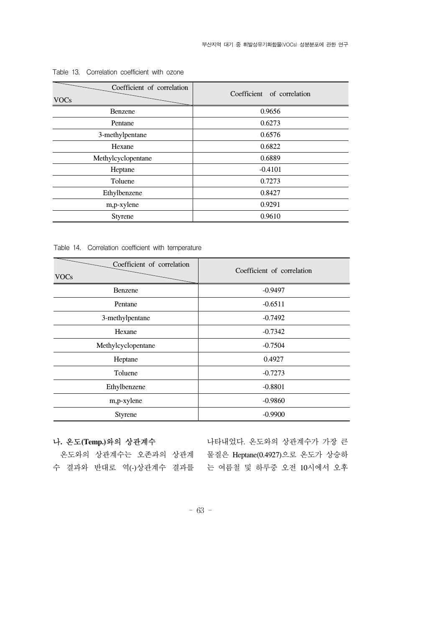| Coefficient of correlation<br><b>VOCs</b> | Coefficient of correlation |
|-------------------------------------------|----------------------------|
| Benzene                                   | 0.9656                     |
| Pentane                                   | 0.6273                     |
| 3-methylpentane                           | 0.6576                     |
| Hexane                                    | 0.6822                     |
| Methylcyclopentane                        | 0.6889                     |
| Heptane                                   | $-0.4101$                  |
| Toluene                                   | 0.7273                     |
| Ethylbenzene                              | 0.8427                     |
| m,p-xylene                                | 0.9291                     |
| <b>Styrene</b>                            | 0.9610                     |

Table 13. Correlation coefficient with ozone

Table 14. Correlation coefficient with temperature

| Coefficient of correlation<br><b>VOCs</b> | Coefficient of correlation |
|-------------------------------------------|----------------------------|
| Benzene                                   | $-0.9497$                  |
| Pentane                                   | $-0.6511$                  |
| 3-methylpentane                           | $-0.7492$                  |
| Hexane                                    | $-0.7342$                  |
| Methylcyclopentane                        | $-0.7504$                  |
| Heptane                                   | 0.4927                     |
| Toluene                                   | $-0.7273$                  |
| Ethylbenzene                              | $-0.8801$                  |
| m,p-xylene                                | $-0.9860$                  |
| Styrene                                   | $-0.9900$                  |

#### 나**.** 온도**(Temp.)**와의 상관계수

온도와의 상관계수는 오존과의 상관계 물질은 Heptane(0.4927)으로 온도가 상승하

수 결과와 반대로 역(-)상관계수 결과를 는 여름철 및 하루중 오전 10시에서 오후 나타내었다. 온도와의 상관계수가 가장 큰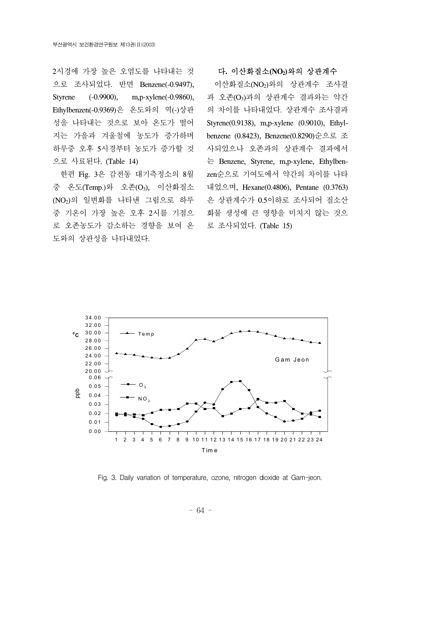2시경에 가장 높은 오염도를 나타내는 것 으로 조사되었다. 반면 Benzene(-0.9497), Styrene (-0.9900), m,p-xylene(-0.9860), Ethylbenzen(-0.9369)은 온도와의 역(-)상관 성을 나타내는 것으로 보아 온도가 떨어 지는 가을과 겨울철에 농도가 증가하며 하루중 오후 5시경부터 농도가 증가할 것 으로 사료된다. (Table 14)

 한편 Fig. 3은 감전동 대기측정소의 8월 중 온도(Temp.)와 오존(O3), 이산화질소 (NO2)의 일변화를 나타낸 그림으로 하루 중 기온이 가장 높은 오후 2시를 기점으 로 오존농도가 감소하는 경향을 보여 온 도와의 상관성을 나타내었다.

다**.** 이산화질소**(NO2)**와의 상관계수

 이산화질소(NO2)와의 상관계수 조사결 과 오존(O3)과의 상관계수 결과와는 약간 의 차이를 나타내었다. 상관계수 조사결과 Styrene(0.9138), m,p-xylene (0.9010), Ethylbenzene (0.8423), Benzene(0.8290)순으로 조 사되었으나 오존과의 상관계수 결과에서 는 Benzene, Styrene, m,p-xylene, Ethylbenzen순으로 기여도에서 약간의 차이를 나타 내었으며, Hexane(0.4806), Pentane (0.3763) 은 상관계수가 0.5이하로 조사되어 질소산 화물 생성에 큰 영향을 미치지 않는 것으 로 조사되었다. (Table 15)



Fig. 3. Daily variation of temperature, ozone, nitrogen dioxide at Gam-jeon.

- 64 -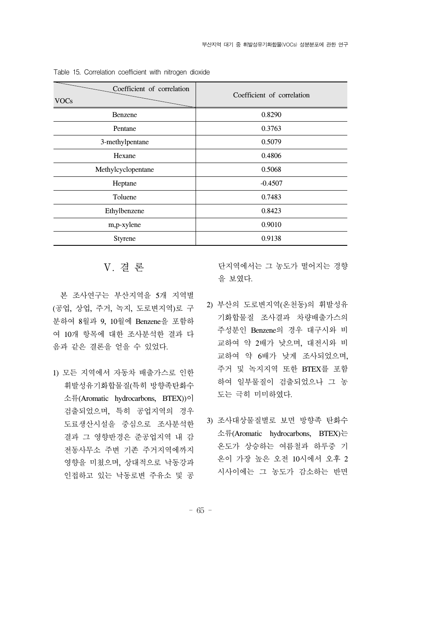| Coefficient of correlation<br><b>VOCs</b> | Coefficient of correlation |
|-------------------------------------------|----------------------------|
| Benzene                                   | 0.8290                     |
| Pentane                                   | 0.3763                     |
| 3-methylpentane                           | 0.5079                     |
| Hexane                                    | 0.4806                     |
| Methylcyclopentane                        | 0.5068                     |
| Heptane                                   | $-0.4507$                  |
| Toluene                                   | 0.7483                     |
| Ethylbenzene                              | 0.8423                     |
| m,p-xylene                                | 0.9010                     |
| <b>Styrene</b>                            | 0.9138                     |

Table 15. Correlation coefficient with nitrogen dioxide

#### Ⅴ. 결 론

 본 조사연구는 부산지역을 5개 지역별 (공업, 상업, 주거, 녹지, 도로변지역)로 구 분하여 8월과 9, 10월에 Benzene을 포함하 여 10개 항목에 대한 조사분석한 결과 다 음과 같은 결론을 얻을 수 있었다.

1) 모든 지역에서 자동차 배출가스로 인한 휘발성유기화합물질(특히 방향족탄화수 소류(Aromatic hydrocarbons, BTEX))이 검출되었으며, 특히 공업지역의 경우 도료생산시설을 중심으로 조사분석한 결과 그 영향반경은 준공업지역 내 감 전동사무소 주변 기존 주거지역에까지 영향을 미쳤으며, 상대적으로 낙동강과 인접하고 있는 낙동로변 주유소 및 공 단지역에서는 그 농도가 떨어지는 경향 을 보였다.

- 2) 부산의 도로변지역(온천동)의 휘발성유 기화합물질 조사결과 차량배출가스의 주성분인 Benzene의 경우 대구시와 비 교하여 약 2배가 낮으며, 대전시와 비 교하여 약 6배가 낮게 조사되었으며, 주거 및 녹지지역 또한 BTEX를 포함 하여 일부물질이 검출되었으나 그 농 도는 극히 미미하였다.
- 3) 조사대상물질별로 보면 방향족 탄화수 소류(Aromatic hydrocarbons, BTEX)는 온도가 상승하는 여름철과 하루중 기 온이 가장 높은 오전 10시에서 오후 2 시사이에는 그 농도가 감소하는 반면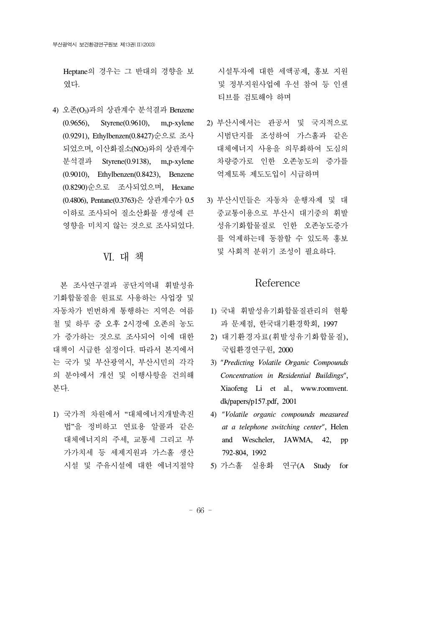Heptane의 경우는 그 반대의 경향을 보 였다.

4) 오존(O3)과의 상관계수 분석결과 Benzene (0.9656), Styrene(0.9610), m,p-xylene (0.9291), Ethylbenzen(0.8427)순으로 조사 되었으며, 이산화질소(NO2)와의 상관계수 분석결과 Styrene(0.9138), m,p-xylene (0.9010), Ethylbenzen(0.8423), Benzene (0.8290)순으로 조사되었으며, Hexane (0.4806), Pentane(0.3763)은 상관계수가 0.5 이하로 조사되어 질소산화물 생성에 큰 영향을 미치지 않는 것으로 조사되었다.

# Ⅵ. 대 책

 본 조사연구결과 공단지역내 휘발성유 기화합물질을 원료로 사용하는 사업장 및 자동차가 빈번하게 통행하는 지역은 여름 철 및 하루 중 오후 2시경에 오존의 농도 가 증가하는 것으로 조사되어 이에 대한 대책이 시급한 실정이다. 따라서 본지에서 는 국가 및 부산광역시, 부산시민의 각각 의 분야에서 개선 및 이행사항을 건의해 본다.

1) 국가적 차원에서 "대체에너지개발촉진 법"을 정비하고 연료용 알콜과 같은 대체에너지의 주세, 교통세 그리고 부 가가치세 등 세제지원과 가스홀 생산 시설 및 주유시설에 대한 에너지절약 시설투자에 대한 세액공제, 홍보 지원 및 정부지원사업에 우선 참여 등 인센 티브를 검토해야 하며

- 2) 부산시에서는 관공서 및 국지적으로 시범단지를 조성하여 가스홀과 같은 대체에너지 사용을 의무화하여 도심의 차량증가로 인한 오존농도의 증가를 억제토록 제도도입이 시급하며
- 3) 부산시민들은 자동차 운행자제 및 대 중교통이용으로 부산시 대기중의 휘발 성유기화합물질로 인한 오존농도증가 를 억제하는데 동참할 수 있도록 홍보 및 사회적 분위기 조성이 필요하다.

# Reference

- 1) 국내 휘발성유기화합물질관리의 현황 과 문제점, 한국대기환경학회, 1997
- 2) 대기환경자료(휘발성유기화합물질), 국립환경연구원, 2000
- 3) "*Predicting Volatile Organic Compounds Concentration in Residential Buildings*", Xiaofeng Li et al., www.roomvent. dk/papers/p157.pdf, 2001
- 4) "*Volatile organic compounds measured at a telephone switching center*", Helen and Wescheler, JAWMA, 42, pp 792-804, 1992
- 5) 가스홀 실용화 연구(A Study for